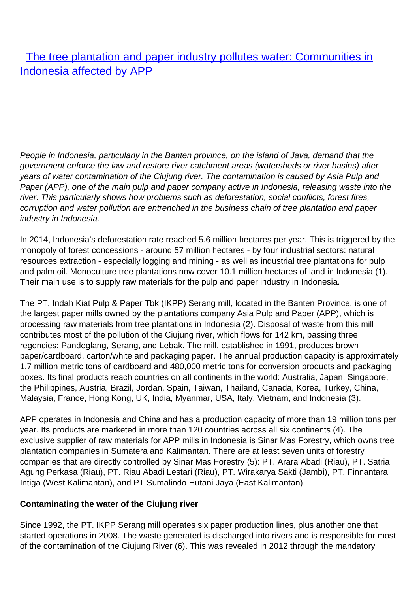## [The tree plantation and paper industry pollutes water: Communities in](/bulletin-articles/the-tree-plantation-and-paper-industry-pollutes-water-communities-in-indonesia-affected-by-app) [Indonesia affected by APP](/bulletin-articles/the-tree-plantation-and-paper-industry-pollutes-water-communities-in-indonesia-affected-by-app)

People in Indonesia, particularly in the Banten province, on the island of Java, demand that the government enforce the law and restore river catchment areas (watersheds or river basins) after years of water contamination of the Ciujung river. The contamination is caused by Asia Pulp and Paper (APP), one of the main pulp and paper company active in Indonesia, releasing waste into the river. This particularly shows how problems such as deforestation, social conflicts, forest fires, corruption and water pollution are entrenched in the business chain of tree plantation and paper industry in Indonesia.

In 2014, Indonesia's deforestation rate reached 5.6 million hectares per year. This is triggered by the monopoly of forest concessions - around 57 million hectares - by four industrial sectors: natural resources extraction - especially logging and mining - as well as industrial tree plantations for pulp and palm oil. Monoculture tree plantations now cover 10.1 million hectares of land in Indonesia (1). Their main use is to supply raw materials for the pulp and paper industry in Indonesia.

The PT. Indah Kiat Pulp & Paper Tbk (IKPP) Serang mill, located in the Banten Province, is one of the largest paper mills owned by the plantations company Asia Pulp and Paper (APP), which is processing raw materials from tree plantations in Indonesia (2). Disposal of waste from this mill contributes most of the pollution of the Ciujung river, which flows for 142 km, passing three regencies: Pandeglang, Serang, and Lebak. The mill, established in 1991, produces brown paper/cardboard, carton/white and packaging paper. The annual production capacity is approximately 1.7 million metric tons of cardboard and 480,000 metric tons for conversion products and packaging boxes. Its final products reach countries on all continents in the world: Australia, Japan, Singapore, the Philippines, Austria, Brazil, Jordan, Spain, Taiwan, Thailand, Canada, Korea, Turkey, China, Malaysia, France, Hong Kong, UK, India, Myanmar, USA, Italy, Vietnam, and Indonesia (3).

APP operates in Indonesia and China and has a production capacity of more than 19 million tons per year. Its products are marketed in more than 120 countries across all six continents (4). The exclusive supplier of raw materials for APP mills in Indonesia is Sinar Mas Forestry, which owns tree plantation companies in Sumatera and Kalimantan. There are at least seven units of forestry companies that are directly controlled by Sinar Mas Forestry (5): PT. Arara Abadi (Riau), PT. Satria Agung Perkasa (Riau), PT. Riau Abadi Lestari (Riau), PT. Wirakarya Sakti (Jambi), PT. Finnantara Intiga (West Kalimantan), and PT Sumalindo Hutani Jaya (East Kalimantan).

## **Contaminating the water of the Ciujung river**

Since 1992, the PT. IKPP Serang mill operates six paper production lines, plus another one that started operations in 2008. The waste generated is discharged into rivers and is responsible for most of the contamination of the Ciujung River (6). This was revealed in 2012 through the mandatory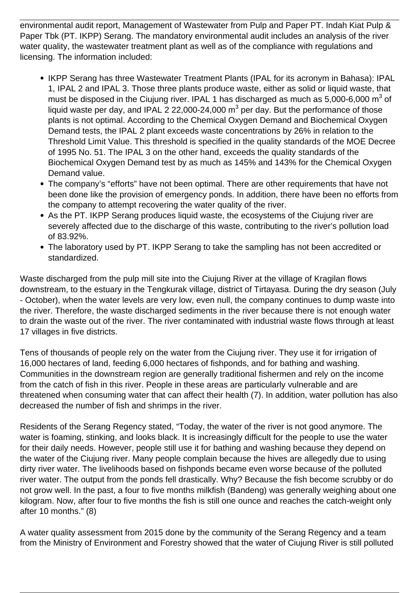environmental audit report, Management of Wastewater from Pulp and Paper PT. Indah Kiat Pulp & Paper Tbk (PT. IKPP) Serang. The mandatory environmental audit includes an analysis of the river water quality, the wastewater treatment plant as well as of the compliance with regulations and licensing. The information included:

- IKPP Serang has three Wastewater Treatment Plants (IPAL for its acronym in Bahasa): IPAL 1, IPAL 2 and IPAL 3. Those three plants produce waste, either as solid or liquid waste, that must be disposed in the Ciujung river. IPAL 1 has discharged as much as 5,000-6,000  $\mathrm{m}^{3}$  of liquid waste per day, and IPAL 2 22,000-24,000  $\textsf{m}^{3}$  per day. But the performance of those plants is not optimal. According to the Chemical Oxygen Demand and Biochemical Oxygen Demand tests, the IPAL 2 plant exceeds waste concentrations by 26% in relation to the Threshold Limit Value. This threshold is specified in the quality standards of the MOE Decree of 1995 No. 51. The IPAL 3 on the other hand, exceeds the quality standards of the Biochemical Oxygen Demand test by as much as 145% and 143% for the Chemical Oxygen Demand value.
- The company's "efforts" have not been optimal. There are other requirements that have not been done like the provision of emergency ponds. In addition, there have been no efforts from the company to attempt recovering the water quality of the river.
- As the PT. IKPP Serang produces liquid waste, the ecosystems of the Ciujung river are severely affected due to the discharge of this waste, contributing to the river's pollution load of 83.92%.
- The laboratory used by PT. IKPP Serang to take the sampling has not been accredited or standardized.

Waste discharged from the pulp mill site into the Ciujung River at the village of Kragilan flows downstream, to the estuary in the Tengkurak village, district of Tirtayasa. During the dry season (July - October), when the water levels are very low, even null, the company continues to dump waste into the river. Therefore, the waste discharged sediments in the river because there is not enough water to drain the waste out of the river. The river contaminated with industrial waste flows through at least 17 villages in five districts.

Tens of thousands of people rely on the water from the Ciujung river. They use it for irrigation of 16,000 hectares of land, feeding 6,000 hectares of fishponds, and for bathing and washing. Communities in the downstream region are generally traditional fishermen and rely on the income from the catch of fish in this river. People in these areas are particularly vulnerable and are threatened when consuming water that can affect their health (7). In addition, water pollution has also decreased the number of fish and shrimps in the river.

Residents of the Serang Regency stated, "Today, the water of the river is not good anymore. The water is foaming, stinking, and looks black. It is increasingly difficult for the people to use the water for their daily needs. However, people still use it for bathing and washing because they depend on the water of the Ciujung river. Many people complain because the hives are allegedly due to using dirty river water. The livelihoods based on fishponds became even worse because of the polluted river water. The output from the ponds fell drastically. Why? Because the fish become scrubby or do not grow well. In the past, a four to five months milkfish (Bandeng) was generally weighing about one kilogram. Now, after four to five months the fish is still one ounce and reaches the catch-weight only after 10 months." (8)

A water quality assessment from 2015 done by the community of the Serang Regency and a team from the Ministry of Environment and Forestry showed that the water of Ciujung River is still polluted